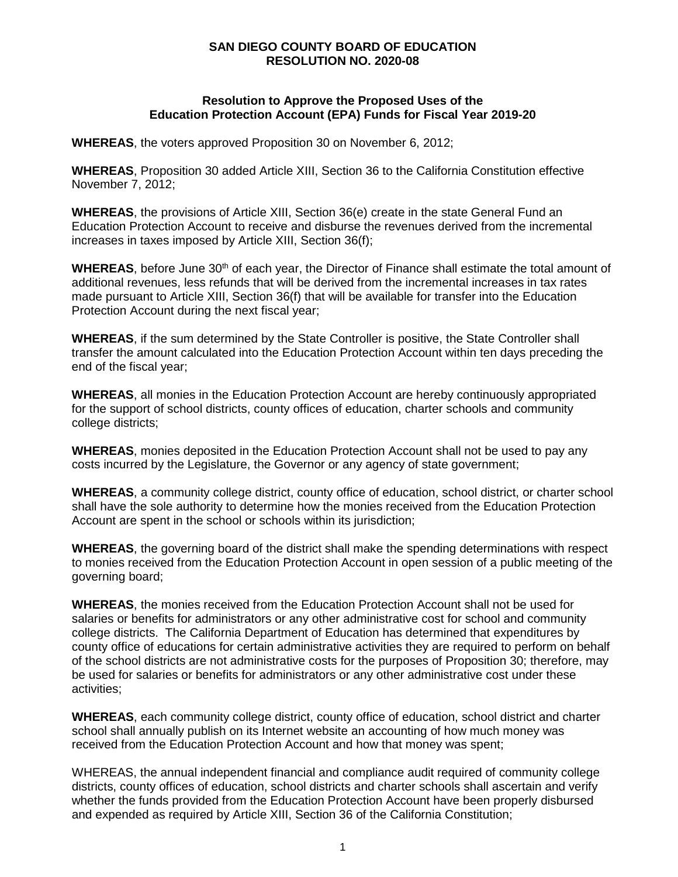## **SAN DIEGO COUNTY BOARD OF EDUCATION RESOLUTION NO. 2020-08**

## **Resolution to Approve the Proposed Uses of the Education Protection Account (EPA) Funds for Fiscal Year 2019-20**

**WHEREAS**, the voters approved Proposition 30 on November 6, 2012;

**WHEREAS**, Proposition 30 added Article XIII, Section 36 to the California Constitution effective November 7, 2012;

**WHEREAS**, the provisions of Article XIII, Section 36(e) create in the state General Fund an Education Protection Account to receive and disburse the revenues derived from the incremental increases in taxes imposed by Article XIII, Section 36(f);

WHEREAS, before June 30<sup>th</sup> of each year, the Director of Finance shall estimate the total amount of additional revenues, less refunds that will be derived from the incremental increases in tax rates made pursuant to Article XIII, Section 36(f) that will be available for transfer into the Education Protection Account during the next fiscal year;

**WHEREAS**, if the sum determined by the State Controller is positive, the State Controller shall transfer the amount calculated into the Education Protection Account within ten days preceding the end of the fiscal year;

**WHEREAS**, all monies in the Education Protection Account are hereby continuously appropriated for the support of school districts, county offices of education, charter schools and community college districts;

**WHEREAS**, monies deposited in the Education Protection Account shall not be used to pay any costs incurred by the Legislature, the Governor or any agency of state government;

**WHEREAS**, a community college district, county office of education, school district, or charter school shall have the sole authority to determine how the monies received from the Education Protection Account are spent in the school or schools within its jurisdiction;

**WHEREAS**, the governing board of the district shall make the spending determinations with respect to monies received from the Education Protection Account in open session of a public meeting of the governing board;

**WHEREAS**, the monies received from the Education Protection Account shall not be used for salaries or benefits for administrators or any other administrative cost for school and community college districts. The California Department of Education has determined that expenditures by county office of educations for certain administrative activities they are required to perform on behalf of the school districts are not administrative costs for the purposes of Proposition 30; therefore, may be used for salaries or benefits for administrators or any other administrative cost under these activities;

**WHEREAS**, each community college district, county office of education, school district and charter school shall annually publish on its Internet website an accounting of how much money was received from the Education Protection Account and how that money was spent;

WHEREAS, the annual independent financial and compliance audit required of community college districts, county offices of education, school districts and charter schools shall ascertain and verify whether the funds provided from the Education Protection Account have been properly disbursed and expended as required by Article XIII, Section 36 of the California Constitution;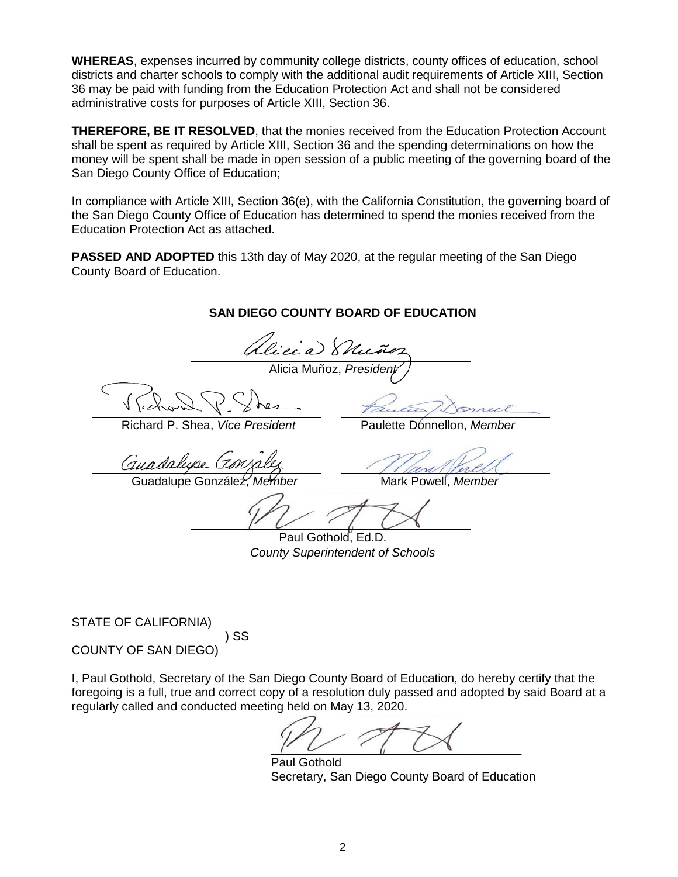**WHEREAS**, expenses incurred by community college districts, county offices of education, school districts and charter schools to comply with the additional audit requirements of Article XIII, Section 36 may be paid with funding from the Education Protection Act and shall not be considered administrative costs for purposes of Article XIII, Section 36.

**THEREFORE, BE IT RESOLVED**, that the monies received from the Education Protection Account shall be spent as required by Article XIII, Section 36 and the spending determinations on how the money will be spent shall be made in open session of a public meeting of the governing board of the San Diego County Office of Education;

In compliance with Article XIII, Section 36(e), with the California Constitution, the governing board of the San Diego County Office of Education has determined to spend the monies received from the Education Protection Act as attached.

**PASSED AND ADOPTED** this 13th day of May 2020, at the regular meeting of the San Diego County Board of Education.

## **SAN DIEGO COUNTY BOARD OF EDUCATION**

liei a) { Alicia Muñoz, *President*

Richard P. Shea, *Vice President* Paulette Donnellon, *Member*

Guadalupe

Guadalupe González, *Member* Mark Powell, *Member*

Paul Gothold, Ed.D.

*County Superintendent of Schools*

STATE OF CALIFORNIA)

 ) SS COUNTY OF SAN DIEGO)

I, Paul Gothold, Secretary of the San Diego County Board of Education, do hereby certify that the foregoing is a full, true and correct copy of a resolution duly passed and adopted by said Board at a regularly called and conducted meeting held on May 13, 2020.

 $\begin{array}{ccc} \hline \end{array}$ 

Paul Gothold Secretary, San Diego County Board of Education